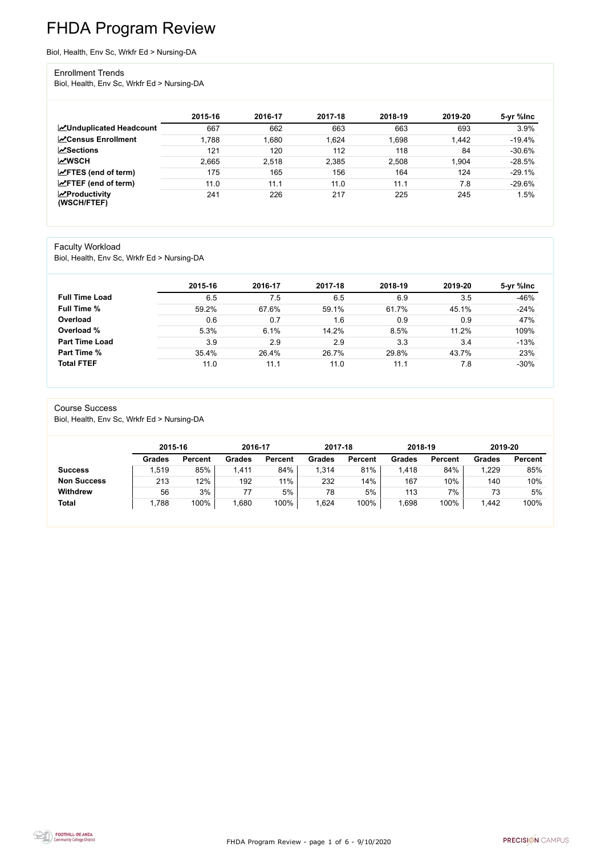FHDA Program Review - page 1 of 6 - 9/10/2020



# FHDA Program Review

Biol, Health, Env Sc, Wrkfr Ed > Nursing-DA

#### Enrollment Trends

Biol, Health, Env Sc, Wrkfr Ed > Nursing-DA

|                                                  | 2015-16 | 2016-17 | 2017-18 | 2018-19 | 2019-20 | 5-yr %lnc |
|--------------------------------------------------|---------|---------|---------|---------|---------|-----------|
| <b>ZUnduplicated Headcount</b>                   | 667     | 662     | 663     | 663     | 693     | 3.9%      |
| <b>∠</b> Census Enrollment                       | 1,788   | ,680    | 1,624   | 1,698   | 1,442   | $-19.4%$  |
| <b>ZSections</b>                                 | 121     | 120     | 112     | 118     | 84      | $-30.6%$  |
| <b>MWSCH</b>                                     | 2,665   | 2,518   | 2,385   | 2,508   | 1,904   | $-28.5%$  |
| $\angle$ FTES (end of term)                      | 175     | 165     | 156     | 164     | 124     | $-29.1%$  |
| $\angle$ FTEF (end of term)                      | 11.0    | 11.1    | 11.0    | 11.1    | 7.8     | $-29.6%$  |
| $\sqrt{\frac{1}{2}}$ Productivity<br>(WSCH/FTEF) | 241     | 226     | 217     | 225     | 245     | 1.5%      |

#### Faculty Workload

Biol, Health, Env Sc, Wrkfr Ed > Nursing-DA

|                       | 2015-16 | 2016-17 | 2017-18 | 2018-19 | 2019-20 | 5-yr %lnc |
|-----------------------|---------|---------|---------|---------|---------|-----------|
| <b>Full Time Load</b> | 6.5     | 7.5     | 6.5     | 6.9     | 3.5     | $-46%$    |
| <b>Full Time %</b>    | 59.2%   | 67.6%   | 59.1%   | 61.7%   | 45.1%   | $-24%$    |
| Overload              | 0.6     | 0.7     | 1.6     | 0.9     | 0.9     | 47%       |
| Overload %            | 5.3%    | 6.1%    | 14.2%   | 8.5%    | 11.2%   | 109%      |
| <b>Part Time Load</b> | 3.9     | 2.9     | 2.9     | 3.3     | 3.4     | $-13%$    |
| <b>Part Time %</b>    | 35.4%   | 26.4%   | 26.7%   | 29.8%   | 43.7%   | 23%       |
| <b>Total FTEF</b>     | 11.0    | 11.1    | 11.0    | 11.1    | 7.8     | $-30%$    |

#### Course Success

Biol, Health, Env Sc, Wrkfr Ed > Nursing-DA

|                    | 2015-16       |                | 2016-17       |                | 2017-18       |                | 2018-19       |                | 2019-20 |                |
|--------------------|---------------|----------------|---------------|----------------|---------------|----------------|---------------|----------------|---------|----------------|
|                    | <b>Grades</b> | <b>Percent</b> | <b>Grades</b> | <b>Percent</b> | <b>Grades</b> | <b>Percent</b> | <b>Grades</b> | <b>Percent</b> | Grades  | <b>Percent</b> |
| <b>Success</b>     | ,519          | 85%            | 1,411         | 84%            | 1,314         | 81%            | .418          | 84%            | 1,229   | 85%            |
| <b>Non Success</b> | 213           | 12%            | 192           | 11%            | 232           | 14%            | 167           | 10%            | 140     | 10%            |
| <b>Withdrew</b>    | 56            | 3%             | 77            | 5%             | 78            | 5%             | 113           | 7%             | 73      | 5%             |
| <b>Total</b>       | .788          | 100%           | ,680          | 100%           | .624          | 100%           | ,698          | 100%           | 1,442   | 100%           |

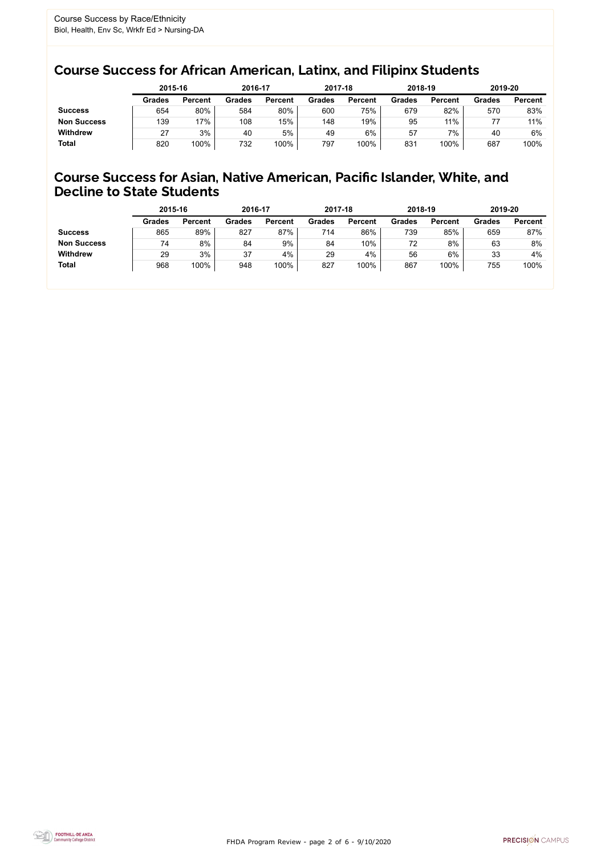FHDA Program Review - page 2 of 6 - 9/10/2020



### Course Success for African American, Latinx, and Filipinx Students

### Course Success for Asian, Native American, Pacific Islander, White, and Decline to State Students

|                    | 2015-16       |                | 2016-17       |                | 2017-18       |                | 2018-19       |                | 2019-20       |                |
|--------------------|---------------|----------------|---------------|----------------|---------------|----------------|---------------|----------------|---------------|----------------|
|                    | <b>Grades</b> | <b>Percent</b> | <b>Grades</b> | <b>Percent</b> | <b>Grades</b> | <b>Percent</b> | <b>Grades</b> | <b>Percent</b> | <b>Grades</b> | <b>Percent</b> |
| <b>Success</b>     | 654           | 80%            | 584           | 80%            | 600           | 75%            | 679           | 82%            | 570           | 83%            |
| <b>Non Success</b> | 139           | 17%            | 108           | 15%            | 148           | 19%            | 95            | 11%            |               | 11%            |
| <b>Withdrew</b>    | 27            | 3%             | 40            | 5%             | 49            | 6%             | 57            | 7%             | 40            | 6%             |
| <b>Total</b>       | 820           | 100%           | 732           | 100%           | 797           | 100%           | 831           | 100%           | 687           | 100%           |

|                    | 2015-16       |                | 2016-17       |                | 2017-18       |                | 2018-19       |                | 2019-20       |                |
|--------------------|---------------|----------------|---------------|----------------|---------------|----------------|---------------|----------------|---------------|----------------|
|                    | <b>Grades</b> | <b>Percent</b> | <b>Grades</b> | <b>Percent</b> | <b>Grades</b> | <b>Percent</b> | <b>Grades</b> | <b>Percent</b> | <b>Grades</b> | <b>Percent</b> |
| <b>Success</b>     | 865           | 89%            | 827           | 87%            | 714           | 86%            | 739           | 85%            | 659           | 87%            |
| <b>Non Success</b> | 74            | 8%             | 84            | 9%             | 84            | 10%            | 72            | 8%             | 63            | 8%             |
| <b>Withdrew</b>    | 29            | 3%             | 37            | 4%             | 29            | 4%             | 56            | 6%             | 33            | 4%             |
| <b>Total</b>       | 968           | 100%           | 948           | 100%           | 827           | 100%           | 867           | 100%           | 755           | 100%           |
|                    |               |                |               |                |               |                |               |                |               |                |

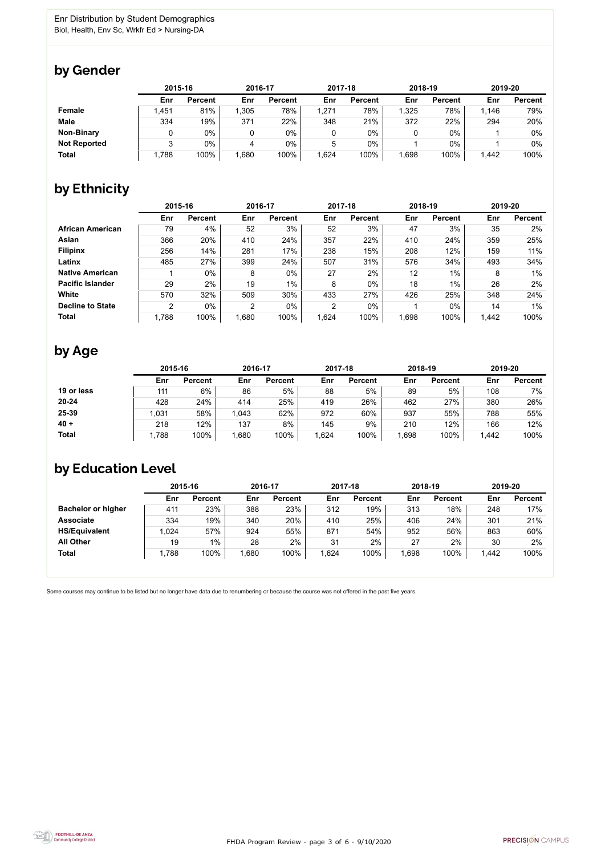FHDA Program Review - page 3 of 6 - 9/10/2020



Some courses may continue to be listed but no longer have data due to renumbering or because the course was not offered in the past five years.



### by Gender

|                     | 2015-16 |                |       | 2016-17        |       | 2017-18        |       | 2018-19        |       | 2019-20        |  |
|---------------------|---------|----------------|-------|----------------|-------|----------------|-------|----------------|-------|----------------|--|
|                     | Enr     | <b>Percent</b> | Enr   | <b>Percent</b> | Enr   | <b>Percent</b> | Enr   | <b>Percent</b> | Enr   | <b>Percent</b> |  |
| <b>Female</b>       | 1,451   | 81%            | 1,305 | 78%            | 1,271 | 78%            | 1,325 | 78%            | 1,146 | 79%            |  |
| <b>Male</b>         | 334     | 19%            | 371   | 22%            | 348   | 21%            | 372   | 22%            | 294   | 20%            |  |
| <b>Non-Binary</b>   |         | 0%             |       | $0\%$          |       | $0\%$          |       | $0\%$          |       | 0%             |  |
| <b>Not Reported</b> |         | 0%             |       | $0\%$          | 5     | $0\%$          |       | $0\%$          |       | 0%             |  |
| <b>Total</b>        | .788    | 100%           | .680  | 100%           | 1,624 | 100%           | ,698  | 100%           | 1,442 | 100%           |  |

## by Ethnicity

|                         |                | 2015-16        |                | 2016-17        |                | 2017-18        |       | 2018-19        | 2019-20 |                |
|-------------------------|----------------|----------------|----------------|----------------|----------------|----------------|-------|----------------|---------|----------------|
|                         | Enr            | <b>Percent</b> | Enr            | <b>Percent</b> | Enr            | <b>Percent</b> | Enr   | <b>Percent</b> | Enr     | <b>Percent</b> |
| <b>African American</b> | 79             | 4%             | 52             | 3%             | 52             | 3%             | 47    | 3%             | 35      | 2%             |
| <b>Asian</b>            | 366            | 20%            | 410            | 24%            | 357            | 22%            | 410   | 24%            | 359     | 25%            |
| <b>Filipinx</b>         | 256            | 14%            | 281            | 17%            | 238            | 15%            | 208   | 12%            | 159     | 11%            |
| Latinx                  | 485            | 27%            | 399            | 24%            | 507            | 31%            | 576   | 34%            | 493     | 34%            |
| <b>Native American</b>  |                | $0\%$          | 8              | $0\%$          | 27             | 2%             | 12    | 1%             | 8       | $1\%$          |
| <b>Pacific Islander</b> | 29             | 2%             | 19             | $1\%$          | 8              | $0\%$          | 18    | $1\%$          | 26      | 2%             |
| White                   | 570            | 32%            | 509            | 30%            | 433            | 27%            | 426   | 25%            | 348     | 24%            |
| <b>Decline to State</b> | $\overline{2}$ | $0\%$          | $\overline{2}$ | $0\%$          | $\overline{2}$ | $0\%$          |       | $0\%$          | 14      | $1\%$          |
| <b>Total</b>            | 1,788          | 100%           | 1,680          | 100%           | 1,624          | 100%           | 1,698 | 100%           | 1,442   | 100%           |

### by Age

|              |       | 2015-16        |       | 2016-17        |      | 2017-18        |      | 2018-19        |       | 2019-20        |  |
|--------------|-------|----------------|-------|----------------|------|----------------|------|----------------|-------|----------------|--|
|              | Enr   | <b>Percent</b> | Enr   | <b>Percent</b> | Enr  | <b>Percent</b> | Enr  | <b>Percent</b> | Enr   | <b>Percent</b> |  |
| 19 or less   | 111   | 6%             | 86    | 5%             | 88   | 5%             | 89   | 5%             | 108   | 7%             |  |
| $20 - 24$    | 428   | 24%            | 414   | 25%            | 419  | 26%            | 462  | 27%            | 380   | 26%            |  |
| 25-39        | ,031  | 58%            | 1,043 | 62%            | 972  | 60%            | 937  | 55%            | 788   | 55%            |  |
| $40 +$       | 218   | 12%            | 137   | 8%             | 145  | 9%             | 210  | 12%            | 166   | 12%            |  |
| <b>Total</b> | 1,788 | 100%           | ,680  | 100%           | .624 | 100%           | .698 | 100%           | 1,442 | 100%           |  |

## by Education Level

|                           | 2015-16 |                |      | 2016-17        |      | 2017-18        | 2018-19 |                | 2019-20 |                |
|---------------------------|---------|----------------|------|----------------|------|----------------|---------|----------------|---------|----------------|
|                           | Enr     | <b>Percent</b> | Enr  | <b>Percent</b> | Enr  | <b>Percent</b> | Enr     | <b>Percent</b> | Enr     | <b>Percent</b> |
| <b>Bachelor or higher</b> | 411     | 23%            | 388  | 23%            | 312  | 19%            | 313     | 18%            | 248     | 17%            |
| <b>Associate</b>          | 334     | 19%            | 340  | 20%            | 410  | 25%            | 406     | 24%            | 301     | 21%            |
| <b>HS/Equivalent</b>      | 1,024   | 57%            | 924  | 55%            | 871  | 54%            | 952     | 56%            | 863     | 60%            |
| <b>All Other</b>          | 19      | 1%             | 28   | 2%             | 31   | 2%             | 27      | 2%             | 30      | 2%             |
| <b>Total</b>              | 1,788   | 100%           | ,680 | 100%           | ,624 | 100%           | 898,    | 100%           | 1,442   | 100%           |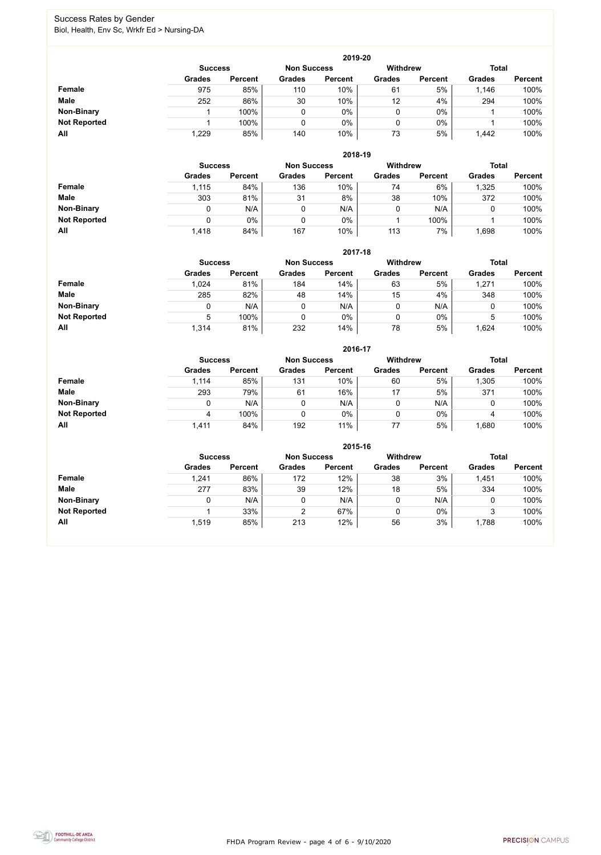FHDA Program Review - page 4 of 6 - 9/10/2020



### Success Rates by Gender Biol, Health, Env Sc, Wrkfr Ed > Nursing-DA

|                     |                | 2019-20        |                    |                |                 |                |               |                |  |  |  |  |  |
|---------------------|----------------|----------------|--------------------|----------------|-----------------|----------------|---------------|----------------|--|--|--|--|--|
|                     | <b>Success</b> |                | <b>Non Success</b> |                | <b>Withdrew</b> |                | <b>Total</b>  |                |  |  |  |  |  |
|                     | <b>Grades</b>  | <b>Percent</b> | <b>Grades</b>      | <b>Percent</b> | <b>Grades</b>   | <b>Percent</b> | <b>Grades</b> | <b>Percent</b> |  |  |  |  |  |
| Female              | 975            | 85%            | 110                | 10%            | 61              | 5%             | 1,146         | 100%           |  |  |  |  |  |
| <b>Male</b>         | 252            | 86%            | 30                 | 10%            | 12              | 4%             | 294           | 100%           |  |  |  |  |  |
| <b>Non-Binary</b>   |                | 100%           |                    | $0\%$          | 0               | $0\%$          |               | 100%           |  |  |  |  |  |
| <b>Not Reported</b> |                | 100%           |                    | $0\%$          |                 | $0\%$          |               | 100%           |  |  |  |  |  |
| All                 | 1,229          | 85%            | 140                | 10%            | 73              | 5%             | 1,442         | 100%           |  |  |  |  |  |

|                     | 2018-19       |                                      |               |                |               |                |               |                |  |  |  |  |  |
|---------------------|---------------|--------------------------------------|---------------|----------------|---------------|----------------|---------------|----------------|--|--|--|--|--|
|                     |               | <b>Non Success</b><br><b>Success</b> |               |                |               |                | <b>Total</b>  |                |  |  |  |  |  |
|                     | <b>Grades</b> | <b>Percent</b>                       | <b>Grades</b> | <b>Percent</b> | <b>Grades</b> | <b>Percent</b> | <b>Grades</b> | <b>Percent</b> |  |  |  |  |  |
| Female              | 1,115         | 84%                                  | 136           | 10%            | 74            | 6%             | 1,325         | 100%           |  |  |  |  |  |
| <b>Male</b>         | 303           | 81%                                  | 31            | 8%             | 38            | 10%            | 372           | 100%           |  |  |  |  |  |
| <b>Non-Binary</b>   | 0             | N/A                                  |               | N/A            | ν             | N/A            | U             | 100%           |  |  |  |  |  |
| <b>Not Reported</b> | 0             | 0%                                   |               | $0\%$          |               | 100%           |               | 100%           |  |  |  |  |  |
| All                 | 1,418         | 84%                                  | 167           | 10%            | 113           | 7%             | .698          | 100%           |  |  |  |  |  |

|                     | 2017-18                                                                 |                |               |                |               |                |               |                |  |  |  |  |  |
|---------------------|-------------------------------------------------------------------------|----------------|---------------|----------------|---------------|----------------|---------------|----------------|--|--|--|--|--|
|                     | <b>Withdrew</b><br><b>Total</b><br><b>Non Success</b><br><b>Success</b> |                |               |                |               |                |               |                |  |  |  |  |  |
|                     | <b>Grades</b>                                                           | <b>Percent</b> | <b>Grades</b> | <b>Percent</b> | <b>Grades</b> | <b>Percent</b> | <b>Grades</b> | <b>Percent</b> |  |  |  |  |  |
| Female              | 1,024                                                                   | 81%            | 184           | 14%            | 63            | 5%             | 1,271         | 100%           |  |  |  |  |  |
| <b>Male</b>         | 285                                                                     | 82%            | 48            | 14%            | 15            | 4%             | 348           | 100%           |  |  |  |  |  |
| <b>Non-Binary</b>   |                                                                         | N/A            | $\mathbf 0$   | N/A            | 0             | N/A            | υ             | 100%           |  |  |  |  |  |
| <b>Not Reported</b> | 5                                                                       | 100%           | 0             | 0%             | 0             | $0\%$          | 5             | 100%           |  |  |  |  |  |
| All                 | 1,314                                                                   | 81%            | 232           | 14%            | 78            | 5%             | 1,624         | 100%           |  |  |  |  |  |

|                     |               |                |               | 2016-17            |                 |                |               |                |
|---------------------|---------------|----------------|---------------|--------------------|-----------------|----------------|---------------|----------------|
|                     |               | <b>Success</b> |               | <b>Non Success</b> | <b>Withdrew</b> |                | <b>Total</b>  |                |
|                     | <b>Grades</b> | <b>Percent</b> | <b>Grades</b> | <b>Percent</b>     | <b>Grades</b>   | <b>Percent</b> | <b>Grades</b> | <b>Percent</b> |
| Female              | 1,114         | 85%            | 131           | 10%                | 60              | 5%             | 1,305         | 100%           |
| <b>Male</b>         | 293           | 79%            | 61            | 16%                | 17              | 5%             | 371           | 100%           |
| <b>Non-Binary</b>   |               | N/A            | 0             | N/A                |                 | N/A            |               | 100%           |
| <b>Not Reported</b> |               | 100%           | 0             | $0\%$              |                 | $0\%$          | 4             | 100%           |
| All                 | 1,411         | 84%            | 192           | 11%                | 77              | 5%             | 1,680         | 100%           |

|                     |                |                    |               | 2015-16         |               |                |               |                |
|---------------------|----------------|--------------------|---------------|-----------------|---------------|----------------|---------------|----------------|
|                     | <b>Success</b> | <b>Non Success</b> |               | <b>Withdrew</b> |               | <b>Total</b>   |               |                |
|                     | <b>Grades</b>  | <b>Percent</b>     | <b>Grades</b> | <b>Percent</b>  | <b>Grades</b> | <b>Percent</b> | <b>Grades</b> | <b>Percent</b> |
| Female              | 1,241          | 86%                | 172           | 12%             | 38            | 3%             | 1,451         | 100%           |
| <b>Male</b>         | 277            | 83%                | 39            | 12%             | 18            | 5%             | 334           | 100%           |
| <b>Non-Binary</b>   |                | N/A                | 0             | N/A             |               | N/A            |               | 100%           |
| <b>Not Reported</b> |                | 33%                |               | 67%             |               | $0\%$          | J.            | 100%           |
| All                 | 1,519          | 85%                | 213           | 12%             | 56            | 3%             | 1,788         | 100%           |

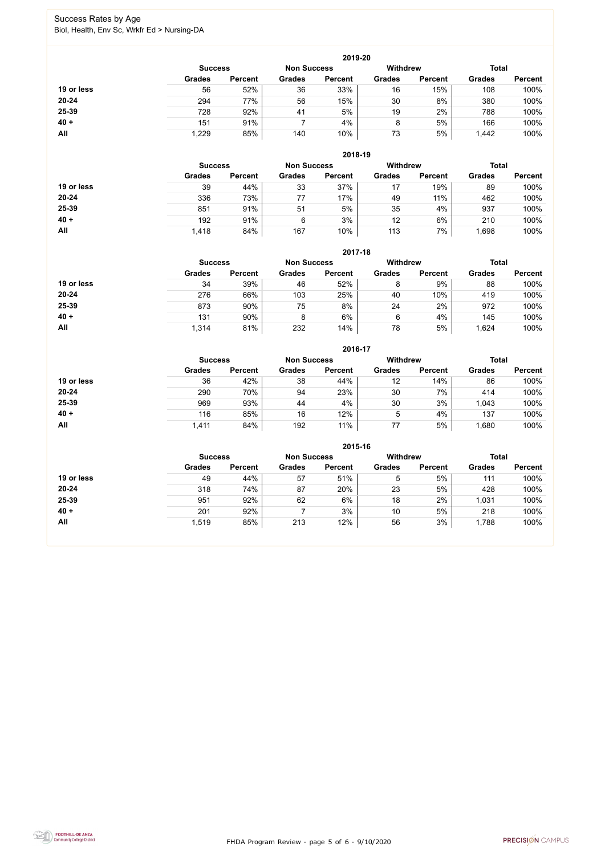FHDA Program Review - page 5 of 6 - 9/10/2020



### Success Rates by Age Biol, Health, Env Sc, Wrkfr Ed > Nursing-DA

|            | 2019-20        |                    |               |                 |               |                |               |                |  |
|------------|----------------|--------------------|---------------|-----------------|---------------|----------------|---------------|----------------|--|
|            | <b>Success</b> | <b>Non Success</b> |               | <b>Withdrew</b> |               | <b>Total</b>   |               |                |  |
|            | <b>Grades</b>  | <b>Percent</b>     | <b>Grades</b> | <b>Percent</b>  | <b>Grades</b> | <b>Percent</b> | <b>Grades</b> | <b>Percent</b> |  |
| 19 or less | 56             | 52%                | 36            | 33%             | 16            | 15%            | 108           | 100%           |  |
| $20 - 24$  | 294            | 77%                | 56            | 15%             | 30            | 8%             | 380           | 100%           |  |
| 25-39      | 728            | 92%                | 41            | 5%              | 19            | 2%             | 788           | 100%           |  |
| $40 +$     | 151            | 91%                |               | 4%              | 8             | 5%             | 166           | 100%           |  |
| All        | 1,229          | 85%                | 140           | 10%             | 73            | 5%             | 1,442         | 100%           |  |

|            |                |                    |               | 2018-19         |               |                |               |                |
|------------|----------------|--------------------|---------------|-----------------|---------------|----------------|---------------|----------------|
|            | <b>Success</b> | <b>Non Success</b> |               | <b>Withdrew</b> |               | <b>Total</b>   |               |                |
|            | <b>Grades</b>  | <b>Percent</b>     | <b>Grades</b> | <b>Percent</b>  | <b>Grades</b> | <b>Percent</b> | <b>Grades</b> | <b>Percent</b> |
| 19 or less | 39             | 44%                | 33            | 37%             | 17            | 19%            | 89            | 100%           |
| $20 - 24$  | 336            | 73%                | 77            | 17%             | 49            | 11%            | 462           | 100%           |
| 25-39      | 851            | 91%                | 51            | 5%              | 35            | 4%             | 937           | 100%           |
| $40 +$     | 192            | 91%                | 6             | 3%              | 12            | 6%             | 210           | 100%           |
| All        | 1,418          | 84%                | 167           | 10%             | 113           | 7%             | 1,698         | 100%           |

|            | 2017-18                              |                |               |                |                 |                |               |                |  |  |
|------------|--------------------------------------|----------------|---------------|----------------|-----------------|----------------|---------------|----------------|--|--|
|            | <b>Non Success</b><br><b>Success</b> |                |               |                | <b>Withdrew</b> |                | <b>Total</b>  |                |  |  |
|            | <b>Grades</b>                        | <b>Percent</b> | <b>Grades</b> | <b>Percent</b> | <b>Grades</b>   | <b>Percent</b> | <b>Grades</b> | <b>Percent</b> |  |  |
| 19 or less | 34                                   | 39%            | 46            | 52%            | 8               | 9%             | 88            | 100%           |  |  |
| $20 - 24$  | 276                                  | 66%            | 103           | 25%            | 40              | 10%            | 419           | 100%           |  |  |
| 25-39      | 873                                  | 90%            | 75            | 8%             | 24              | 2%             | 972           | 100%           |  |  |
| $40 +$     | 131                                  | 90%            | 8             | 6%             | 6               | 4%             | 145           | 100%           |  |  |
| <b>All</b> | 1,314                                | 81%            | 232           | 14%            | 78              | 5%             | ,624          | 100%           |  |  |

|            |                |                    |               | 2016-17         |               |                |               |                |
|------------|----------------|--------------------|---------------|-----------------|---------------|----------------|---------------|----------------|
|            | <b>Success</b> | <b>Non Success</b> |               | <b>Withdrew</b> |               | <b>Total</b>   |               |                |
|            | <b>Grades</b>  | <b>Percent</b>     | <b>Grades</b> | <b>Percent</b>  | <b>Grades</b> | <b>Percent</b> | <b>Grades</b> | <b>Percent</b> |
| 19 or less | 36             | 42%                | 38            | 44%             | 12            | 14%            | 86            | 100%           |
| $20 - 24$  | 290            | 70%                | 94            | 23%             | 30            | 7%             | 414           | 100%           |
| 25-39      | 969            | 93%                | 44            | 4%              | 30            | 3%             | 1,043         | 100%           |
| $40 +$     | 116            | 85%                | 16            | 12%             | 5             | 4%             | 137           | 100%           |
| All        | 1,411          | 84%                | 192           | 11%             | 77            | 5%             | ,680          | 100%           |

|            |                |                    |               | 2015-16         |               |                |               |                |
|------------|----------------|--------------------|---------------|-----------------|---------------|----------------|---------------|----------------|
|            | <b>Success</b> | <b>Non Success</b> |               | <b>Withdrew</b> |               | <b>Total</b>   |               |                |
|            | <b>Grades</b>  | <b>Percent</b>     | <b>Grades</b> | <b>Percent</b>  | <b>Grades</b> | <b>Percent</b> | <b>Grades</b> | <b>Percent</b> |
| 19 or less | 49             | 44%                | 57            | 51%             | 5             | 5%             | 111           | 100%           |
| $20 - 24$  | 318            | 74%                | 87            | 20%             | 23            | 5%             | 428           | 100%           |
| 25-39      | 951            | 92%                | 62            | 6%              | 18            | 2%             | 1,031         | 100%           |
| $40 +$     | 201            | 92%                |               | 3%              | 10            | 5%             | 218           | 100%           |
| All        | 1,519          | 85%                | 213           | 12%             | 56            | 3%             | 1,788         | 100%           |